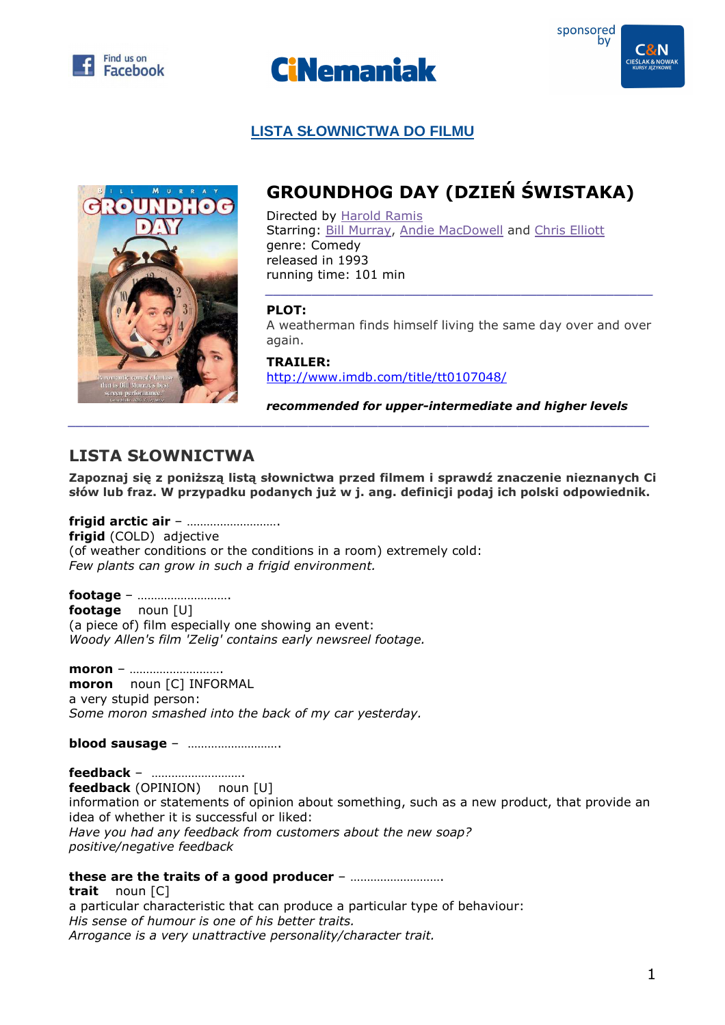





# **LISTA SŁOWNICTWA DO FILMU**



# **GROUNDHOG DAY (DZIEŃ ŚWISTAKA)**

Directed by Harold Ramis Starring: Bill Murray, Andie MacDowell and Chris Elliott genre: Comedy released in 1993 running time: 101 min

### **PLOT:**

A weatherman finds himself living the same day over and over again.

*\_\_\_\_\_\_\_\_\_\_\_\_\_\_\_\_\_\_\_\_\_\_\_\_\_\_\_\_\_\_\_\_\_\_\_\_\_\_\_\_\_\_\_\_\_\_\_\_\_\_* 

**TRAILER:**  http://www.imdb.com/title/tt0107048/

*recommended for upper-intermediate and higher levels* 

# **LISTA SŁOWNICTWA**

**Zapoznaj się z poniższą listą słownictwa przed filmem i sprawdź znaczenie nieznanych Ci słów lub fraz. W przypadku podanych już w j. ang. definicji podaj ich polski odpowiednik.** 

**frigid arctic air** – ………………………. **frigid** (COLD) adjective (of weather conditions or the conditions in a room) extremely cold: *Few plants can grow in such a frigid environment.* 

**footage** – ………………………. **footage** noun [U] (a piece of) film especially one showing an event: *Woody Allen's film 'Zelig' contains early newsreel footage.* 

**moron** – ………………………. **moron** noun [C] INFORMAL a very stupid person: *Some moron smashed into the back of my car yesterday.* 

**blood sausage** – ……………………….

**feedback** – ………………………. **feedback** (OPINION) noun [U] information or statements of opinion about something, such as a new product, that provide an idea of whether it is successful or liked: *Have you had any feedback from customers about the new soap? positive/negative feedback* 

# **these are the traits of a good producer** – ……………………….

**trait** noun [C] a particular characteristic that can produce a particular type of behaviour: *His sense of humour is one of his better traits. Arrogance is a very unattractive personality/character trait.*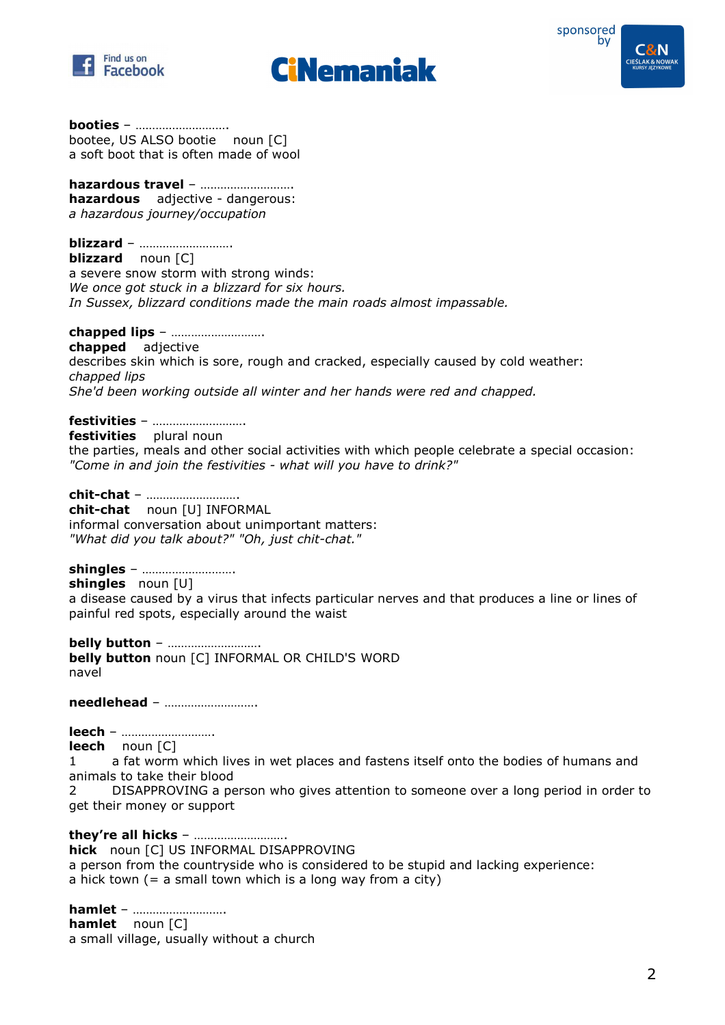





**booties** – ………………………. bootee, US ALSO bootie noun [C] a soft boot that is often made of wool

**hazardous travel** – ………………………. **hazardous** adjective - dangerous: *a hazardous journey/occupation* 

#### **blizzard** – ……………………….

**blizzard** noun [C] a severe snow storm with strong winds: *We once got stuck in a blizzard for six hours. In Sussex, blizzard conditions made the main roads almost impassable.* 

#### **chapped lips** – ……………………….

**chapped** adjective describes skin which is sore, rough and cracked, especially caused by cold weather: *chapped lips She'd been working outside all winter and her hands were red and chapped.* 

# **festivities** – ……………………….

**festivities** plural noun

the parties, meals and other social activities with which people celebrate a special occasion: *"Come in and join the festivities - what will you have to drink?"* 

#### **chit-chat** – ……………………….

**chit-chat** noun [U] INFORMAL informal conversation about unimportant matters: *"What did you talk about?" "Oh, just chit-chat."* 

#### **shingles** – ……………………….

**shingles** noun [U]

a disease caused by a virus that infects particular nerves and that produces a line or lines of painful red spots, especially around the waist

**belly button** – ………………………. **belly button** noun [C] INFORMAL OR CHILD'S WORD navel

**needlehead** – ……………………….

**leech** – ……………………….

**leech** noun [C]

1 a fat worm which lives in wet places and fastens itself onto the bodies of humans and animals to take their blood

2 DISAPPROVING a person who gives attention to someone over a long period in order to get their money or support

#### **they're all hicks** – ……………………….

**hick** noun [C] US INFORMAL DISAPPROVING

a person from the countryside who is considered to be stupid and lacking experience: a hick town  $(= a \text{ small town which is a long way from a city})$ 

#### **hamlet** – ……………………….

**hamlet** noun [C] a small village, usually without a church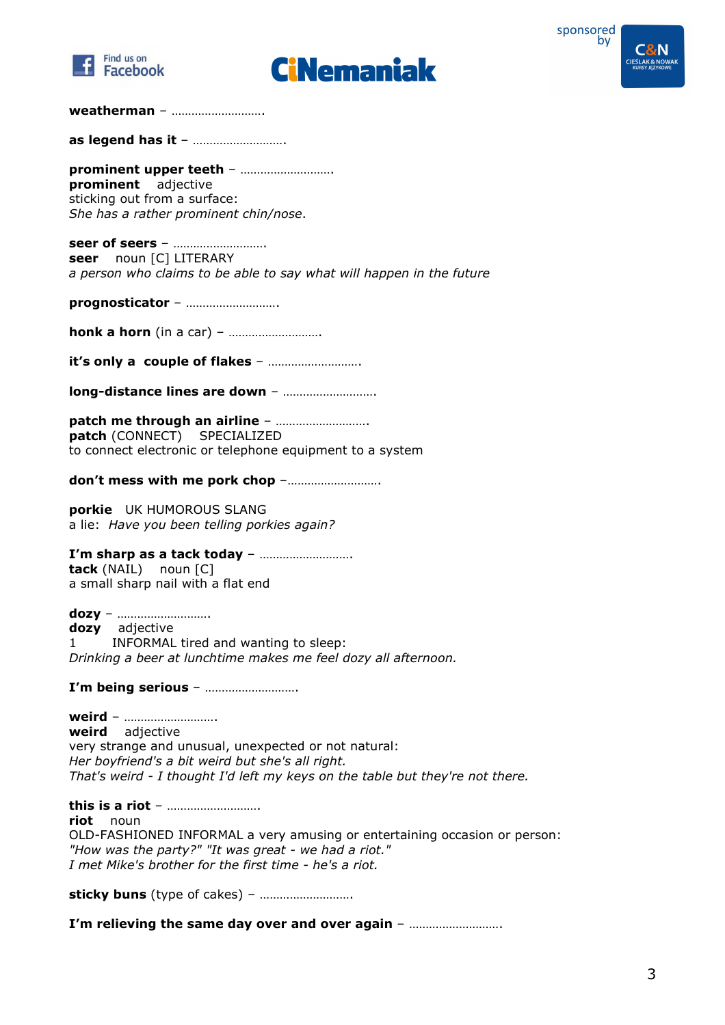





#### **weatherman** – ……………………….

**as legend has it** – ……………………….

**prominent upper teeth** – ………………………. **prominent** adjective sticking out from a surface: *She has a rather prominent chin/nose*.

**seer of seers** – ………………………. **seer** noun [C] LITERARY *a person who claims to be able to say what will happen in the future* 

**prognosticator** – ……………………….

**honk a horn** (in a car) – …………………………

**it's only a couple of flakes** – ……………………….

**long-distance lines are down** – ……………………….

**patch me through an airline** – ………………………. **patch** (CONNECT) SPECIALIZED to connect electronic or telephone equipment to a system

**don't mess with me pork chop** –……………………….

**porkie** UK HUMOROUS SLANG a lie: *Have you been telling porkies again?* 

**I'm sharp as a tack today** – ………………………. **tack** (NAIL) noun [C] a small sharp nail with a flat end

**dozy** – ………………………. **dozy** adjective 1 INFORMAL tired and wanting to sleep: *Drinking a beer at lunchtime makes me feel dozy all afternoon.* 

**I'm being serious** – ……………………….

**weird** – ………………………. **weird** adjective very strange and unusual, unexpected or not natural: *Her boyfriend's a bit weird but she's all right. That's weird - I thought I'd left my keys on the table but they're not there.* 

**this is a riot** – ………………………. **riot** noun OLD-FASHIONED INFORMAL a very amusing or entertaining occasion or person: *"How was the party?" "It was great - we had a riot." I met Mike's brother for the first time - he's a riot.* 

**sticky buns** (type of cakes) – ……………………….

**I'm relieving the same day over and over again** – ……………………….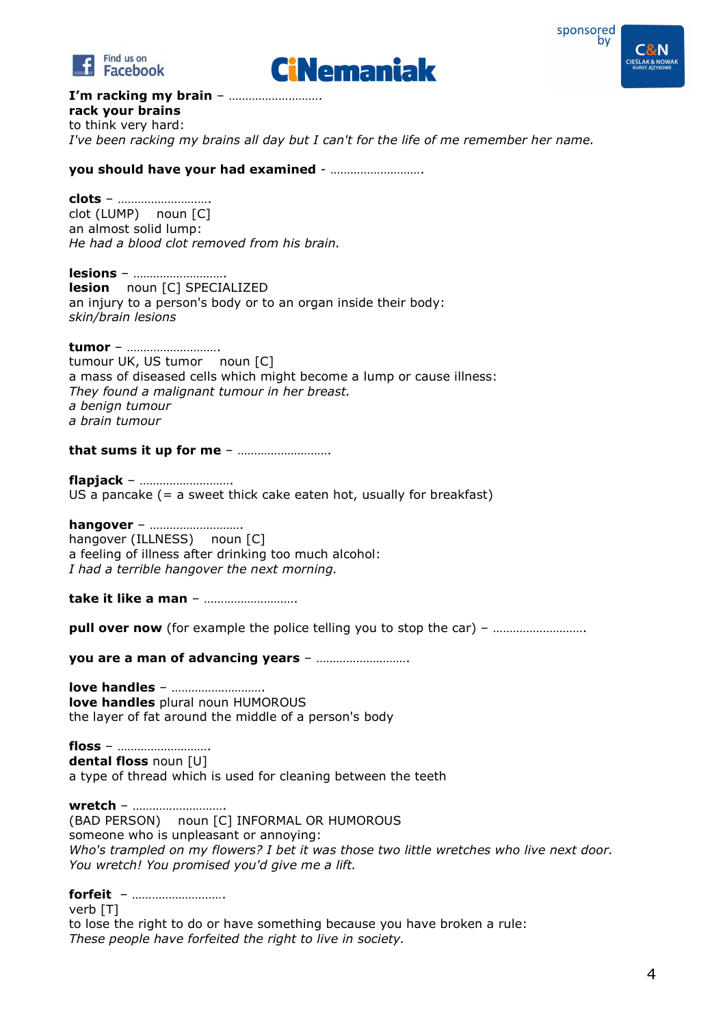





**I'm racking my brain** – ……………………….

**rack your brains**  to think very hard: *I've been racking my brains all day but I can't for the life of me remember her name.* 

**you should have your had examined** - ……………………….

**clots** – ………………………. clot (LUMP) noun [C] an almost solid lump: *He had a blood clot removed from his brain.* 

**lesions** – ………………………. **lesion** noun [C] SPECIALIZED an injury to a person's body or to an organ inside their body: *skin/brain lesions* 

**tumor** – ………………………. tumour UK, US tumor noun [C] a mass of diseased cells which might become a lump or cause illness: *They found a malignant tumour in her breast. a benign tumour a brain tumour* 

**that sums it up for me** – ……………………….

**flapjack** – ………………………. US a pancake  $(= a$  sweet thick cake eaten hot, usually for breakfast)

**hangover** – ………………………. hangover (ILLNESS) noun [C] a feeling of illness after drinking too much alcohol: *I had a terrible hangover the next morning.* 

**take it like a man** – ……………………….

**pull over now** (for example the police telling you to stop the car) – …………………………

**you are a man of advancing years** – ……………………….

**love handles** – ………………………. **love handles** plural noun HUMOROUS the layer of fat around the middle of a person's body

**floss** – ………………………. **dental floss** noun [U] a type of thread which is used for cleaning between the teeth

**wretch** – ………………………. (BAD PERSON) noun [C] INFORMAL OR HUMOROUS someone who is unpleasant or annoying: *Who's trampled on my flowers? I bet it was those two little wretches who live next door. You wretch! You promised you'd give me a lift.* 

**forfeit** – ………………………. verb [T]

to lose the right to do or have something because you have broken a rule: *These people have forfeited the right to live in society.*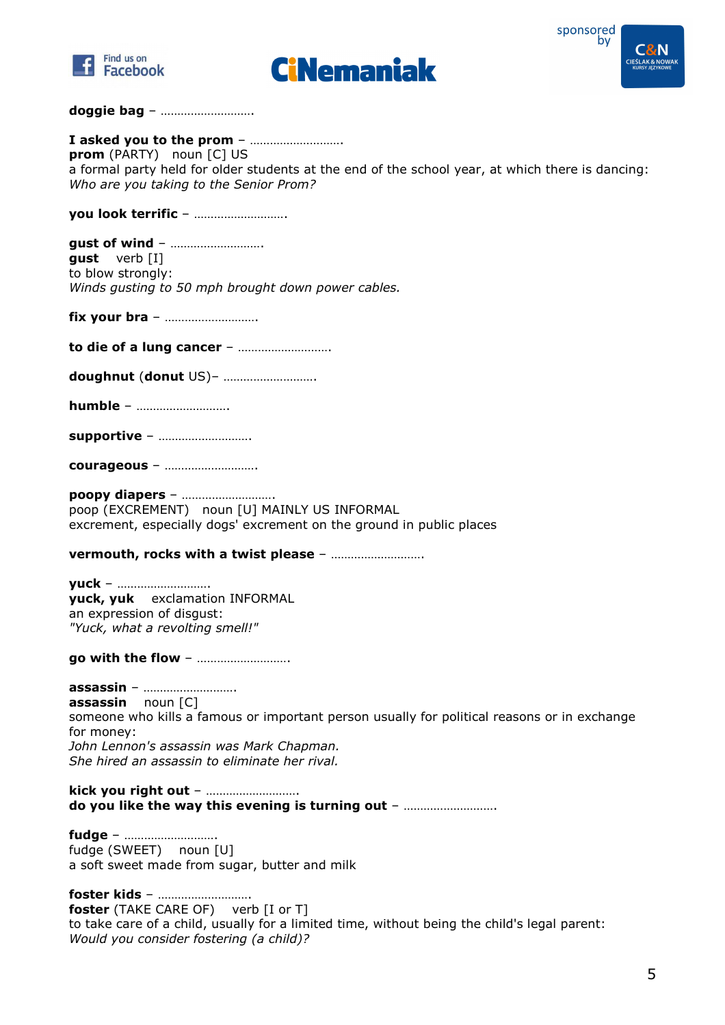





#### **doggie bag** – ……………………….

**I asked you to the prom** – ………………………. **prom** (PARTY) noun [C] US a formal party held for older students at the end of the school year, at which there is dancing: *Who are you taking to the Senior Prom?* 

**you look terrific** – ……………………….

**gust of wind** – ………………………. **gust** verb [I] to blow strongly: *Winds gusting to 50 mph brought down power cables.* 

**fix your bra** – ……………………….

**to die of a lung cancer** – ……………………….

**doughnut** (**donut** US)– ……………………….

**humble** – ……………………….

**supportive** – ……………………….

**courageous** – ……………………….

**poopy diapers** – ………………………. poop (EXCREMENT) noun [U] MAINLY US INFORMAL excrement, especially dogs' excrement on the ground in public places

**vermouth, rocks with a twist please** – ……………………….

**yuck** – ………………………. **yuck, yuk** exclamation INFORMAL an expression of disgust: *"Yuck, what a revolting smell!"* 

**go with the flow** – ……………………….

**assassin** – ………………………. **assassin** noun [C] someone who kills a famous or important person usually for political reasons or in exchange for money: *John Lennon's assassin was Mark Chapman. She hired an assassin to eliminate her rival.* 

**kick you right out** – ………………………. **do you like the way this evening is turning out** – ……………………….

**fudge** – ………………………. fudge (SWEET) noun [U] a soft sweet made from sugar, butter and milk

**foster kids** – ………………………. **foster** (TAKE CARE OF) verb [I or T] to take care of a child, usually for a limited time, without being the child's legal parent: *Would you consider fostering (a child)?*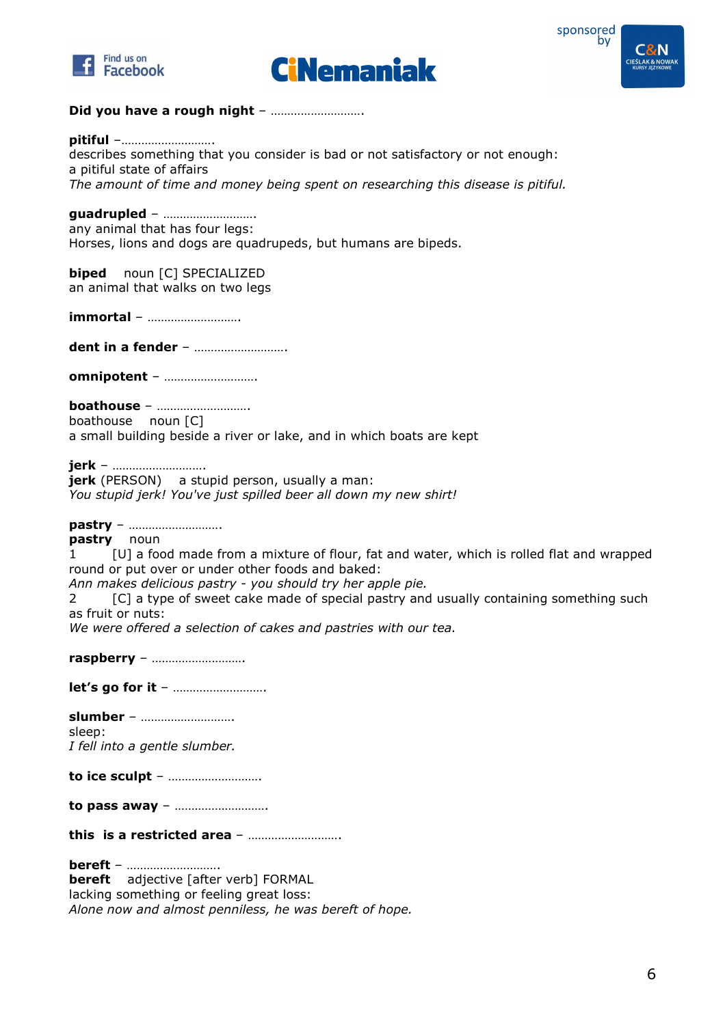





### **Did you have a rough night** – ……………………….

#### **pitiful** –……………………….

describes something that you consider is bad or not satisfactory or not enough: a pitiful state of affairs *The amount of time and money being spent on researching this disease is pitiful.* 

#### **guadrupled** – ……………………….

any animal that has four legs: Horses, lions and dogs are quadrupeds, but humans are bipeds.

**biped** noun [C] SPECIALIZED an animal that walks on two legs

**immortal** – ……………………….

**dent in a fender** – ……………………….

**omnipotent** – ……………………….

**boathouse** – ………………………. boathouse noun [C]

a small building beside a river or lake, and in which boats are kept

#### **jerk** – ……………………….

**jerk** (PERSON) a stupid person, usually a man: *You stupid jerk! You've just spilled beer all down my new shirt!* 

#### **pastry** – ……………………….

**pastry** noun

1 [U] a food made from a mixture of flour, fat and water, which is rolled flat and wrapped round or put over or under other foods and baked:

*Ann makes delicious pastry - you should try her apple pie.* 

2 [C] a type of sweet cake made of special pastry and usually containing something such as fruit or nuts:

*We were offered a selection of cakes and pastries with our tea.* 

**raspberry** – ……………………….

**let's go for it** – ……………………….

**slumber** – ………………………. sleep: *I fell into a gentle slumber.* 

**to ice sculpt** – ……………………….

**to pass away** – ……………………….

**this is a restricted area** – ……………………….

**bereft** – ………………………. **bereft** adjective [after verb] FORMAL lacking something or feeling great loss: *Alone now and almost penniless, he was bereft of hope.*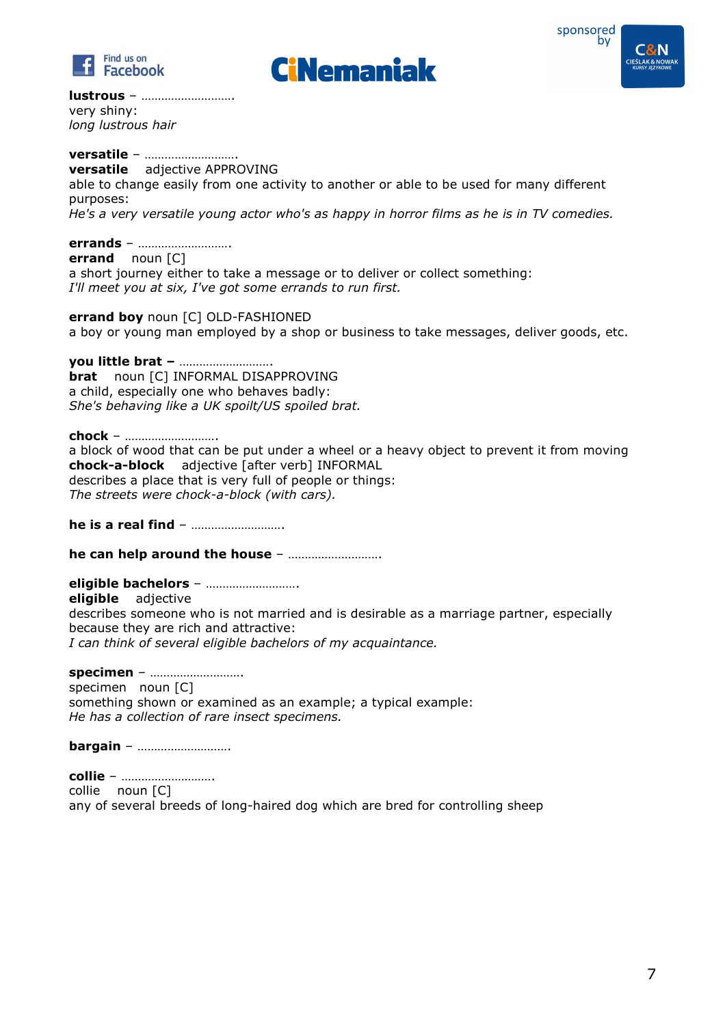







**lustrous** – ………………………. very shiny: *long lustrous hair* 

# **versatile** – ……………………….

**versatile** adjective APPROVING able to change easily from one activity to another or able to be used for many different purposes: *He's a very versatile young actor who's as happy in horror films as he is in TV comedies.* 

#### **errands** – ……………………….

**errand** noun [C] a short journey either to take a message or to deliver or collect something: *I'll meet you at six, I've got some errands to run first.* 

**errand boy** noun [C] OLD-FASHIONED a boy or young man employed by a shop or business to take messages, deliver goods, etc.

**you little brat –** ………………………. **brat** noun [C] INFORMAL DISAPPROVING a child, especially one who behaves badly: *She's behaving like a UK spoilt/US spoiled brat.* 

**chock** – ………………………. a block of wood that can be put under a wheel or a heavy object to prevent it from moving **chock-a-block** adjective [after verb] INFORMAL describes a place that is very full of people or things: *The streets were chock-a-block (with cars).* 

**he is a real find** – ……………………….

**he can help around the house** – ……………………….

**eligible bachelors** – ………………………. **eligible** adjective describes someone who is not married and is desirable as a marriage partner, especially because they are rich and attractive: *I can think of several eligible bachelors of my acquaintance.* 

**specimen** – ……………………….

specimen noun [C] something shown or examined as an example; a typical example: *He has a collection of rare insect specimens.* 

**bargain** – ……………………….

**collie** – ………………………. collie noun [C] any of several breeds of long-haired dog which are bred for controlling sheep